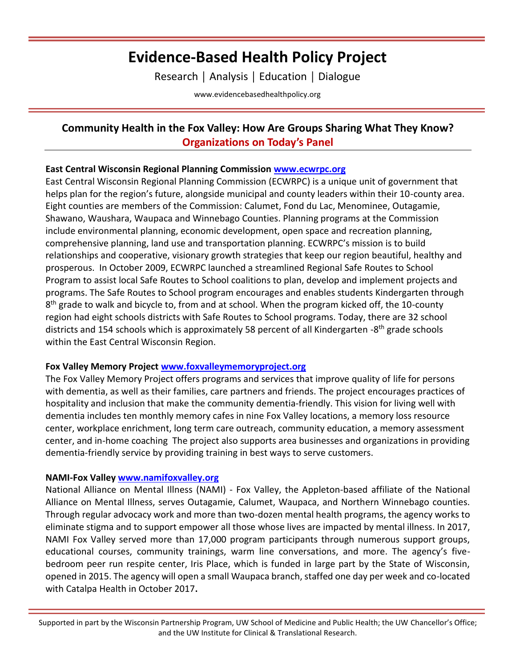# **Evidence-Based Health Policy Project**

Research │ Analysis │ Education │ Dialogue

[www.evidencebasedhealthpolicy.org](file:///C:/Users/randrae/Downloads/www.evidencebasedhealthpolicy.org)

# **Community Health in the Fox Valley: How Are Groups Sharing What They Know? Organizations on Today's Panel**

## **East Central Wisconsin Regional Planning Commission [www.ecwrpc.org](http://www.ecwrpc.org/)**

East Central Wisconsin Regional Planning Commission (ECWRPC) is a unique unit of government that helps plan for the region's future, alongside municipal and county leaders within their 10-county area. Eight counties are members of the Commission: Calumet, Fond du Lac, Menominee, Outagamie, Shawano, Waushara, Waupaca and Winnebago Counties. Planning programs at the Commission include environmental planning, economic development, open space and recreation planning, comprehensive planning, land use and transportation planning. ECWRPC's mission is to build relationships and cooperative, visionary growth strategies that keep our region beautiful, healthy and prosperous. In October 2009, ECWRPC launched a streamlined Regional Safe Routes to School Program to assist local Safe Routes to School coalitions to plan, develop and implement projects and programs. The Safe Routes to School program encourages and enables students Kindergarten through 8<sup>th</sup> grade to walk and bicycle to, from and at school. When the program kicked off, the 10-county region had eight schools districts with Safe Routes to School programs. Today, there are 32 school districts and 154 schools which is approximately 58 percent of all Kindergarten -8<sup>th</sup> grade schools within the East Central Wisconsin Region.

## **Fox Valley Memory Project [www.foxvalleymemoryproject.org](http://www.foxvalleymemoryproject.org/)**

The Fox Valley Memory Project offers programs and services that improve quality of life for persons with dementia, as well as their families, care partners and friends. The project encourages practices of hospitality and inclusion that make the community dementia-friendly. This vision for living well with dementia includes ten monthly memory cafes in nine Fox Valley locations, a memory loss resource center, workplace enrichment, long term care outreach, community education, a memory assessment center, and in-home coaching The project also supports area businesses and organizations in providing dementia-friendly service by providing training in best ways to serve customers.

## **NAMI-Fox Valley [www.namifoxvalley.org](http://www.namifoxvalley.org/)**

National Alliance on Mental Illness (NAMI) - Fox Valley, the Appleton-based affiliate of the National Alliance on Mental Illness, serves Outagamie, Calumet, Waupaca, and Northern Winnebago counties. Through regular advocacy work and more than two-dozen mental health programs, the agency works to eliminate stigma and to support empower all those whose lives are impacted by mental illness. In 2017, NAMI Fox Valley served more than 17,000 program participants through numerous support groups, educational courses, community trainings, warm line conversations, and more. The agency's fivebedroom peer run respite center, Iris Place, which is funded in large part by the State of Wisconsin, opened in 2015. The agency will open a small Waupaca branch, staffed one day per week and co-located with Catalpa Health in October 2017**.**

Supported in part by the Wisconsin Partnership Program, UW School of Medicine and Public Health; the UW Chancellor's Office; and the UW Institute for Clinical & Translational Research.